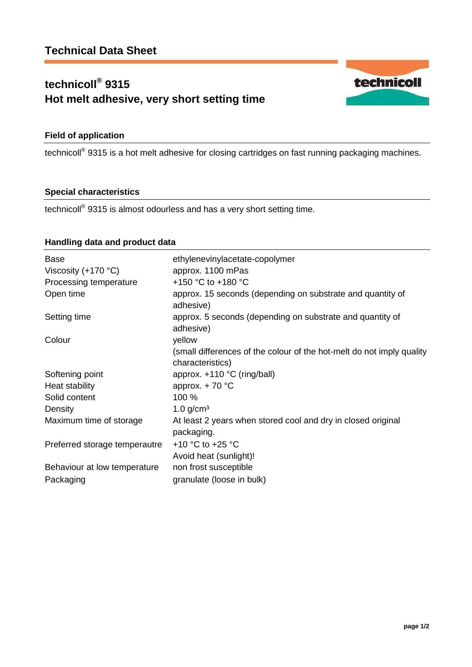# **technicoll® 9315 Hot melt adhesive, very short setting time**



technicoll<sup>®</sup> 9315 is a hot melt adhesive for closing cartridges on fast running packaging machines.

### **Special characteristics**

technicoll® 9315 is almost odourless and has a very short setting time.

## **Handling data and product data**

| <b>Base</b>                   | ethylenevinylacetate-copolymer                                                            |
|-------------------------------|-------------------------------------------------------------------------------------------|
| Viscosity $(+170 °C)$         | approx. 1100 mPas<br>+150 °C to +180 °C                                                   |
| Processing temperature        |                                                                                           |
| Open time                     | approx. 15 seconds (depending on substrate and quantity of<br>adhesive)                   |
| Setting time                  | approx. 5 seconds (depending on substrate and quantity of<br>adhesive)                    |
| Colour                        | yellow                                                                                    |
|                               | (small differences of the colour of the hot-melt do not imply quality<br>characteristics) |
| Softening point               | approx. $+110$ °C (ring/ball)                                                             |
| Heat stability                | approx. $+ 70$ °C                                                                         |
| Solid content                 | 100 %                                                                                     |
| Density                       | $1.0$ g/cm <sup>3</sup>                                                                   |
| Maximum time of storage       | At least 2 years when stored cool and dry in closed original<br>packaging.                |
| Preferred storage temperautre | +10 $\degree$ C to +25 $\degree$ C                                                        |
|                               | Avoid heat (sunlight)!                                                                    |
| Behaviour at low temperature  | non frost susceptible                                                                     |
| Packaging                     | granulate (loose in bulk)                                                                 |

technicoll